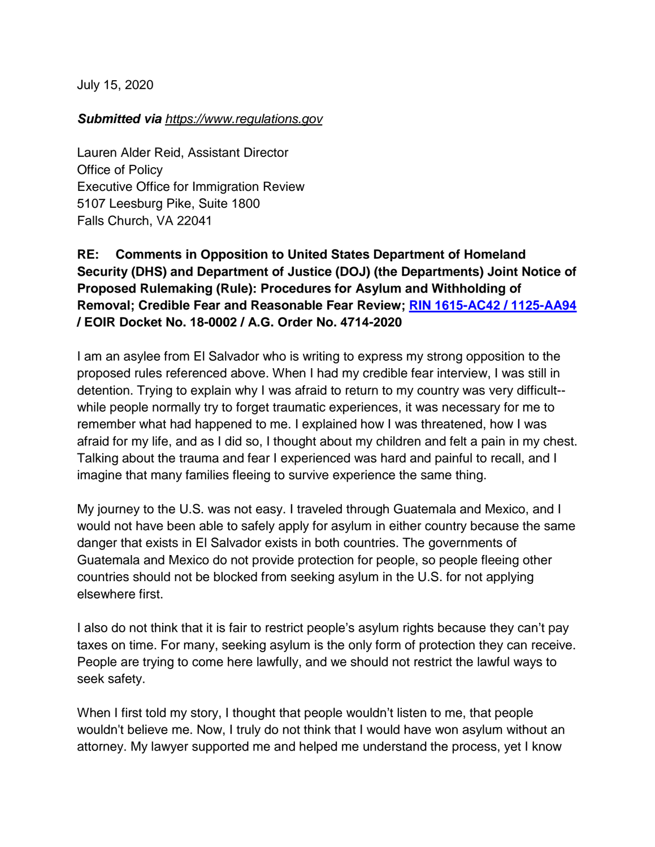July 15, 2020

## *Submitted via https:/[/www.](https://www.regulations.gov/document?D=EOIR-2020-0003-0001)regulations.gov*

Lauren Alder Reid, Assistant Director Office of Policy Executive Office for Immigration Review 5107 Leesburg Pike, Suite 1800 Falls Church, VA 22041

## **RE: Comments in Opposition to United States Department of Homeland Security (DHS) and Department of Justice (DOJ) (the Departments) Joint Notice of Proposed Rulemaking (Rule): Procedures for Asylum and Withholding of Removal; Credible Fear and Reasonable Fear Review; [RIN 1615-AC42 / 1125-AA94](https://www.federalregister.gov/documents/2020/06/15/2020-12575/procedures-for-asylum-and-withholding-of-removal-credible-fear-and-reasonable-fear-review) / EOIR Docket No. 18-0002 / A.G. Order No. 4714-2020**

I am an asylee from El Salvador who is writing to express my strong opposition to the proposed rules referenced above. When I had my credible fear interview, I was still in detention. Trying to explain why I was afraid to return to my country was very difficult- while people normally try to forget traumatic experiences, it was necessary for me to remember what had happened to me. I explained how I was threatened, how I was afraid for my life, and as I did so, I thought about my children and felt a pain in my chest. Talking about the trauma and fear I experienced was hard and painful to recall, and I imagine that many families fleeing to survive experience the same thing.

My journey to the U.S. was not easy. I traveled through Guatemala and Mexico, and I would not have been able to safely apply for asylum in either country because the same danger that exists in El Salvador exists in both countries. The governments of Guatemala and Mexico do not provide protection for people, so people fleeing other countries should not be blocked from seeking asylum in the U.S. for not applying elsewhere first.

I also do not think that it is fair to restrict people's asylum rights because they can't pay taxes on time. For many, seeking asylum is the only form of protection they can receive. People are trying to come here lawfully, and we should not restrict the lawful ways to seek safety.

When I first told my story, I thought that people wouldn't listen to me, that people wouldn't believe me. Now, I truly do not think that I would have won asylum without an attorney. My lawyer supported me and helped me understand the process, yet I know